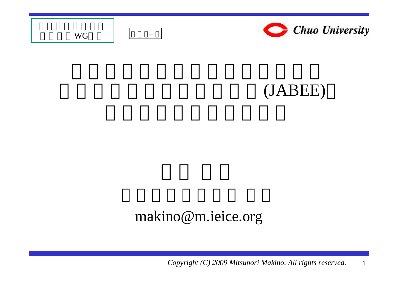



1

# (JABEE)

# makino@m.ieice.org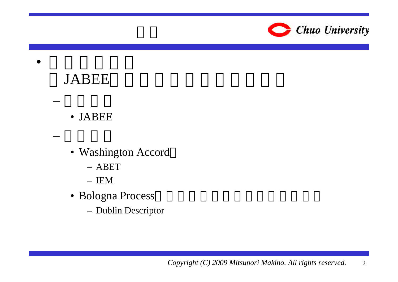

# JABEE

•

–

–

- JABEE
- Washington Accord
	- ABET
	- IEM
- Bologna Process
	- Dublin Descriptor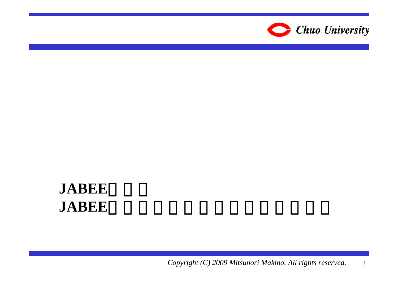

# **JABEE JABEE**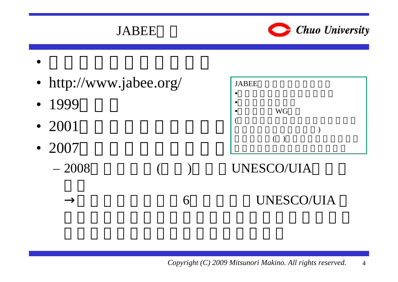#### JABEE

(

6



- http://www.jabee.org/
- 1999

•

- 2001
- 2007
	- 2008



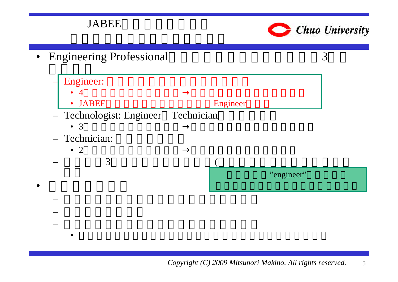JABEE

•

Chuo University

5

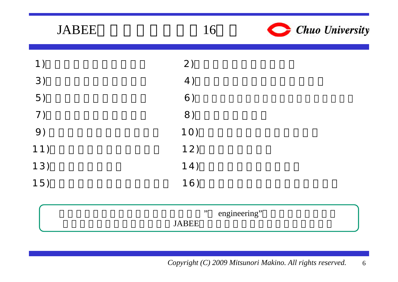| <b>JABEE</b> | 16                    | Chuo University |
|--------------|-----------------------|-----------------|
| 1)           | 2)                    |                 |
| 3)           | 4)                    |                 |
| 5)           | 6)                    |                 |
| 7)           | 8)                    |                 |
| 9)           | 10)                   |                 |
| 11)          | 12)                   |                 |
| 13)          | 14)                   |                 |
| 15)          | 16)                   |                 |
|              | $, ,$<br>engineering" |                 |
|              | <b>JABEE</b>          |                 |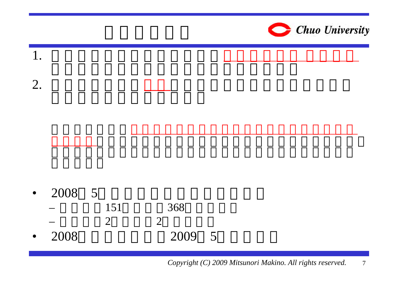

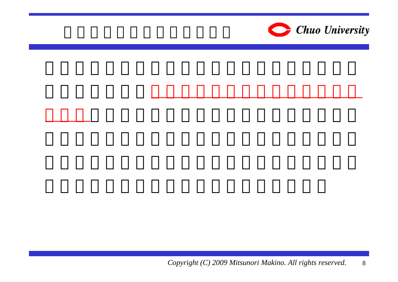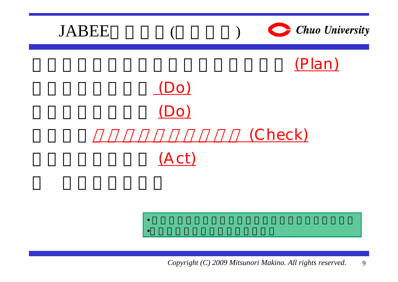





9



)

(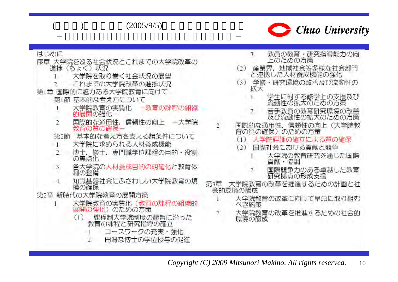(  $(2005/9/5)$ 



| はじめに                                            |           |
|-------------------------------------------------|-----------|
| 序章 大学院を巡る社会状況とこれまでの大学院改革の                       |           |
| 進捗(ちょく)状況                                       |           |
| 大学院を取り巻く社会状況の展望<br>Œ.                           |           |
| これまでの大学院改革の進捗状況                                 |           |
| 第1章 国際的に魅力ある大学院教育に向けて                           |           |
| 第1節 基本的な考え方について                                 |           |
| 大学院教育の実質化 –教育の課程の組織<br>的展開の強化ー                  |           |
| 国際的な通用性,信頼性の向上 一大学院<br>$\mathcal{I}$<br>教育の質の確保 | 2         |
| 第2節 基本的な考え方を支える諸条件について                          |           |
| 大学院に求められる人材養成機能<br>u                            |           |
| 博士,修士,専門職学位課程の目的・役割<br>2.<br>の焦点化               |           |
| 各大学院の人材養成目的の明確化と教育体<br>3 <sub>1</sub><br>制の整備   |           |
| 知識基盤社会にふさわしい大学院教育の規<br>$-4$<br>模の確保             | 第3章<br>会的 |
| 新時代の大学院教育の展開方策<br>第2章                           |           |
| 大学院教育の実質化(教育の課程の組織的<br>展開の強化)のための方策             | Ł         |
| 課程制大学院制度の趣旨に沿った<br>(1)<br>教育の課程と研究指導の確立         | 2,        |
| コースワークの充実・強化                                    |           |

円滑な博士の学位授与の促進  $2.$ 

- 教員の教育・研究指導能力の向 3. 上のための方策
- 産業界、地域社会等多様な社会部門  $(2)$ と連携した人材養成機能の強化
- 学修・研究環境の改善及び流動性の  $(3)$ 拡大
	- 学生に対する修学上の支援及び<br>流動性の拡大のための方策 1.
	- 若手教員の教育研究環境の改善<br>及び流動性の拡大のための方策  $\overline{2}$ .
- 国際的な通用性、信頼性の向上(大学院教<br>育の質の確保)のための方策
	- $\left( \frac{1}{2} \right)$ 大学院評価の確立による質の確保
	- 国際社会における貢献と競争  $(2)$ 
		- 大学院の教育研究を通じた国際 1 貢献・協調
		- 国際競争力のある卓越した教育 2 研究拠点の形成支援
- 大学院教育の改革を推進するための計画と社 的環境の醸成
	- 大学院教育の改革に向けて早急に取り組む べき施策
	- 大学院教育の改革を推進するための社会的 環境の醸成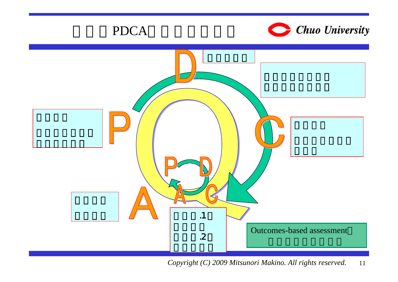



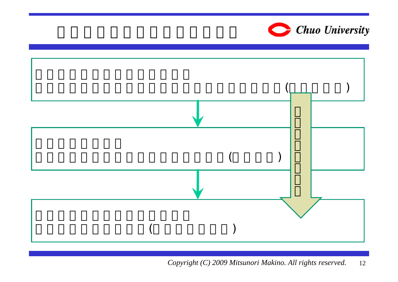

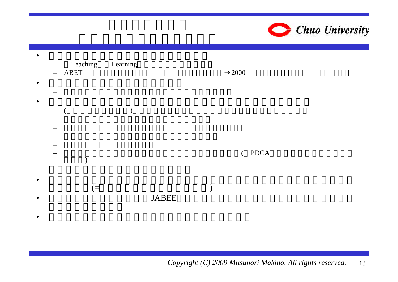

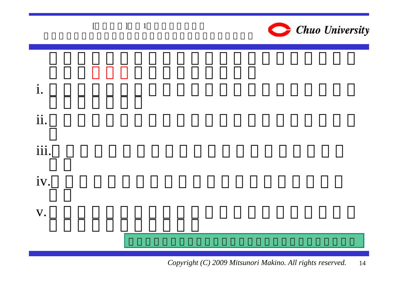



| i.                 |  |  |
|--------------------|--|--|
| ii.                |  |  |
| $\overline{111}$ . |  |  |
| iv.                |  |  |
| $V_{\bullet}$      |  |  |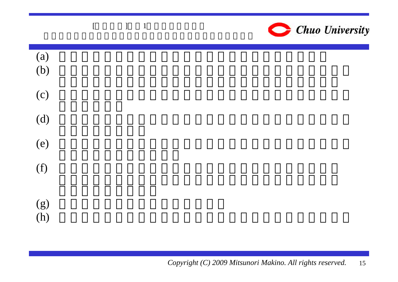[ ] 1



| $\begin{pmatrix} a \\ b \end{pmatrix}$ |  |  |  |
|----------------------------------------|--|--|--|
| (c)                                    |  |  |  |
| (d)                                    |  |  |  |
| (e)                                    |  |  |  |
| (f)                                    |  |  |  |
| $(g)$<br>(h)                           |  |  |  |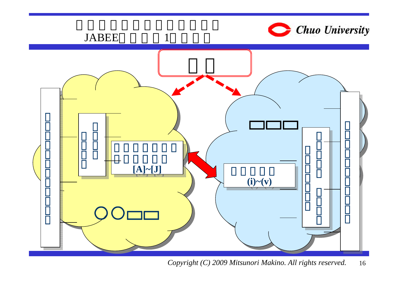

*Copyright (C) 2009 Mitsunori Makino. All rights reserved.* 16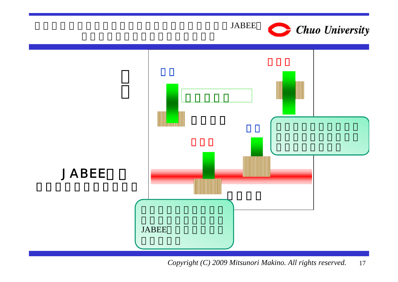

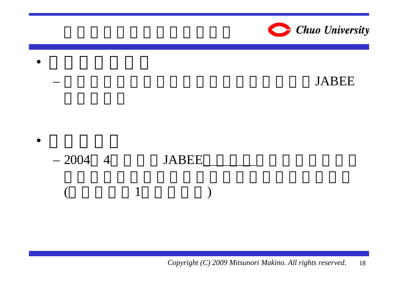

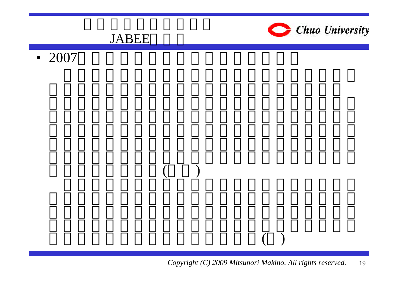

#### JABEE

 $($ 

• 2007

*Copyright (C) 2009 Mitsunori Makino. All rights reserved.* 19

(

 $\big)$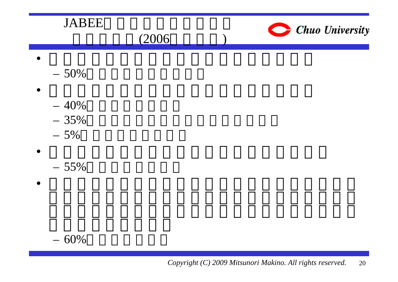

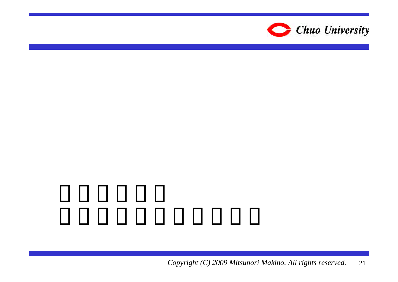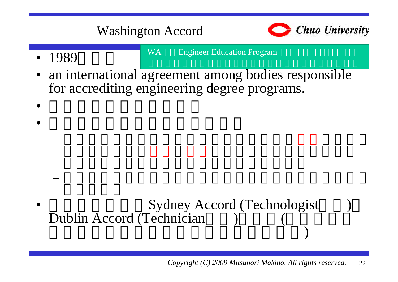### Washington Accord



)

• 1989

–

–

•

•

- WAEngineer Education Program
- an international agreement among bodies responsible for accrediting engineering degree programs.

• Sydney Accord (Technologist Dublin Accord (Technician ) ( )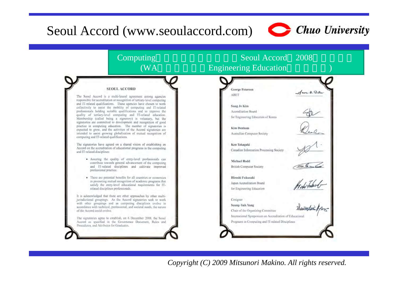#### Seoul Accord (www.seoulaccord.com)



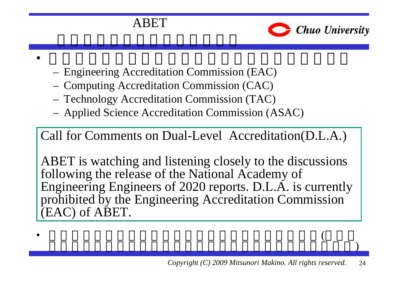

•

•



(

)

- Engineering Accreditation Commission (EAC)
- Computing Accreditation Commission (CAC)
- Technology Accreditation Commission (TAC)
- Applied Science Accreditation Commission (ASAC)

Call for Comments on Dual-Level Accreditation(D.L.A.)

ABET is watching and listening closely to the discussions following the release of the National Academy of Engineering Engineers of 2020 reports. D.L.A. is currently prohibited by the Engineering Accreditation Commission (EAC) of ABET.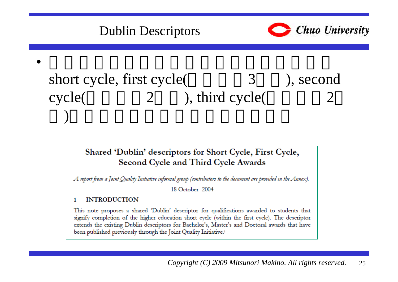### Dublin Descriptors



#### short cycle, first cycle( 3 ), second cycle( 2 ), third cycle(  $\mathcal{D}_{\mathcal{L}}$ )

#### Shared 'Dublin' descriptors for Short Cycle, First Cycle, Second Cycle and Third Cycle Awards

A report from a Joint Quality Initiative informal group (contributors to the document are provided in the Annex).

18 October 2004

#### **INTRODUCTION** 1

•

This note proposes a shared 'Dublin' descriptor for qualifications awarded to students that signify completion of the higher education short cycle (within the first cycle). The descriptor extends the existing Dublin descriptors for Bachelor's, Master's and Doctoral awards that have been published previously through the Joint Quality Initiative.<sup>1</sup>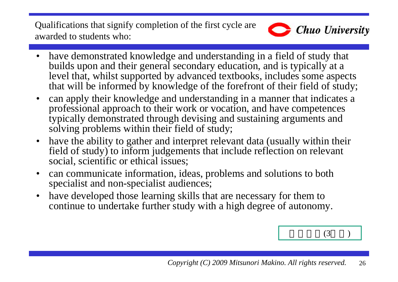Qualifications that signify completion of the first cycle are awarded to students who:



- have demonstrated knowledge and understanding in a field of study that builds upon and their general secondary education, and is typically at a level that, whilst supported by advanced textbooks, includes some aspects that will be informed by knowledge of the forefront of their field of study;
- can apply their knowledge and understanding in a manner that indicates a professional approach to their work or vocation, and have competences typically demonstrated through devising and sustaining arguments and solving problems within their field of study;
- have the ability to gather and interpret relevant data (usually within their field of study) to inform judgements that include reflection on relevant social, scientific or ethical issues;
- can communicate information, ideas, problems and solutions to both specialist and non-specialist audiences;
- have developed those learning skills that are necessary for them to continue to undertake further study with a high degree of autonomy.

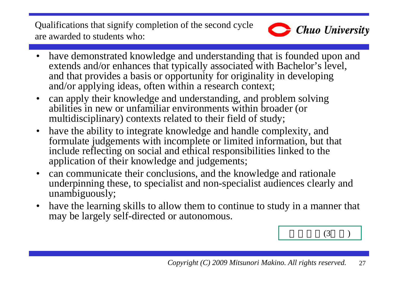Qualifications that signify completion of the second cycle are awarded to students who:



- have demonstrated knowledge and understanding that is founded upon and extends and/or enhances that typically associated with Bachelor's level, and that provides a basis or opportunity for originality in developing and/or applying ideas, often within a research context;
- can apply their knowledge and understanding, and problem solving abilities in new or unfamiliar environments within broader (or multidisciplinary) contexts related to their field of study;
- have the ability to integrate knowledge and handle complexity, and formulate judgements with incomplete or limited information, but that include reflecting on social and ethical responsibilities linked to the application of their knowledge and judgements;
- can communicate their conclusions, and the knowledge and rationale underpinning these, to specialist and non-specialist audiences clearly and unambiguously;
- have the learning skills to allow them to continue to study in a manner that may be largely self-directed or autonomous.

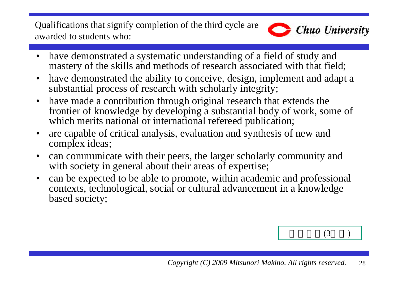Qualifications that signify completion of the third cycle are awarded to students who:



- have demonstrated a systematic understanding of a field of study and mastery of the skills and methods of research associated with that field;
- have demonstrated the ability to conceive, design, implement and adapt a substantial process of research with scholarly integrity;
- have made a contribution through original research that extends the frontier of knowledge by developing a substantial body of work, some of which merits national or international refereed publication;
- are capable of critical analysis, evaluation and synthesis of new and complex ideas;
- can communicate with their peers, the larger scholarly community and with society in general about their areas of expertise;
- can be expected to be able to promote, within academic and professional contexts, technological, social or cultural advancement in a knowledge based society;

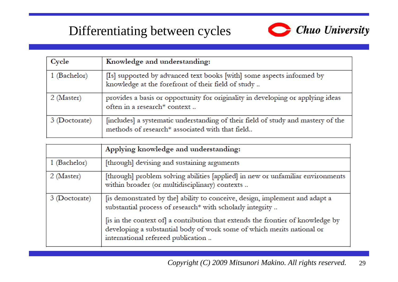### Differentiating between cycles



| Cycle         | Knowledge and understanding:                                                                                                        |  |  |  |
|---------------|-------------------------------------------------------------------------------------------------------------------------------------|--|--|--|
| 1 (Bachelor)  | [Is] supported by advanced text books [with] some aspects informed by<br>knowledge at the forefront of their field of study         |  |  |  |
| 2 (Master)    | provides a basis or opportunity for originality in developing or applying ideas<br>often in a research* context                     |  |  |  |
| 3 (Doctorate) | [includes] a systematic understanding of their field of study and mastery of the<br>methods of research* associated with that field |  |  |  |

|               | Applying knowledge and understanding:                                                                                                                                                           |  |  |  |
|---------------|-------------------------------------------------------------------------------------------------------------------------------------------------------------------------------------------------|--|--|--|
| 1 (Bachelor)  | [through] devising and sustaining arguments                                                                                                                                                     |  |  |  |
| 2 (Master)    | [through] problem solving abilities [applied] in new or unfamiliar environments<br>within broader (or multidisciplinary) contexts                                                               |  |  |  |
| 3 (Doctorate) | [is demonstrated by the] ability to conceive, design, implement and adapt a<br>substantial process of research* with scholarly integrity                                                        |  |  |  |
|               | [is in the context of] a contribution that extends the frontier of knowledge by<br>developing a substantial body of work some of which merits national or<br>international refereed publication |  |  |  |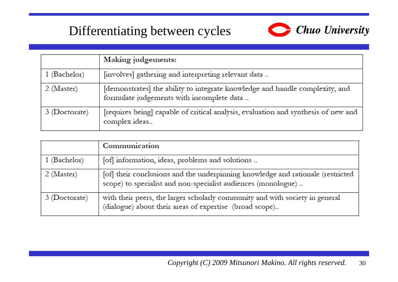### Differentiating between cycles



|               | Making judgements:                                                                                                        |
|---------------|---------------------------------------------------------------------------------------------------------------------------|
| 1 (Bachelor)  | [involves] gathering and interpreting relevant data                                                                       |
| 2 (Master)    | [demonstrates] the ability to integrate knowledge and handle complexity, and<br>formulate judgements with incomplete data |
| 3 (Doctorate) | [requires being] capable of critical analysis, evaluation and synthesis of new and<br>complex ideas                       |

|               | Communication                                                                                                                                    |
|---------------|--------------------------------------------------------------------------------------------------------------------------------------------------|
| 1 (Bachelor)  | [of] information, ideas, problems and solutions                                                                                                  |
| 2 (Master)    | [of] their conclusions and the underpinning knowledge and rationale (restricted<br>scope) to specialist and non-specialist audiences (monologue) |
| 3 (Doctorate) | with their peers, the larger scholarly community and with society in general<br>(dialogue) about their areas of expertise (broad scope)          |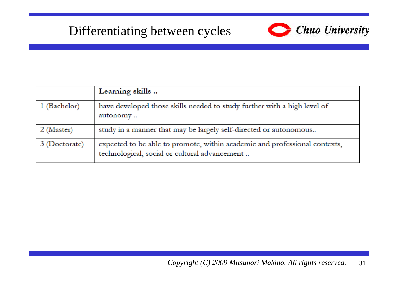### Differentiating between cycles



|               | Learning skills                                                                                                             |
|---------------|-----------------------------------------------------------------------------------------------------------------------------|
| 1 (Bachelor)  | have developed those skills needed to study further with a high level of<br>autonomy                                        |
| 2 (Master)    | study in a manner that may be largely self-directed or autonomous                                                           |
| 3 (Doctorate) | expected to be able to promote, within academic and professional contexts,<br>technological, social or cultural advancement |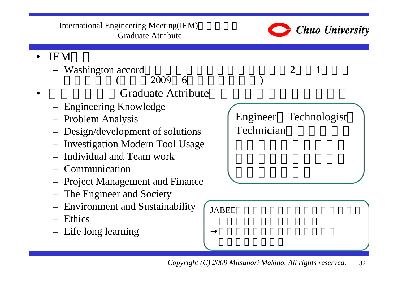International Engineering Meeting(IEM)  $\blacktriangleright$  Chuo University Graduate Attribute• IEM– Washington accord  $\mathcal{L}$ 1( 2009 6) • Graduate Attribute– Engineering Knowledge Engineer Technologist – Problem Analysis Technician– Design/development of solutions – Investigation Modern Tool Usage – Individual and Team work– Communication – Project Management and Finance – The Engineer and Society – Environment and Sustainability JABEE– Ethics

– Life long learning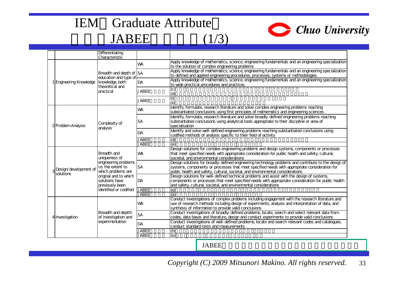#### IEM Graduate Attribute JABEE $(1/3)$



|  |                                    | Differentiating<br>Characteristic                                                                                                                        |              |                                                                                                                                                                                                                                                                                         |
|--|------------------------------------|----------------------------------------------------------------------------------------------------------------------------------------------------------|--------------|-----------------------------------------------------------------------------------------------------------------------------------------------------------------------------------------------------------------------------------------------------------------------------------------|
|  |                                    | Breadth and depth of SA<br>education and type of<br>knowledge, both                                                                                      | WA           | Apply knowledge of mathematics, science, engineering fundamentals and an engineering specialization<br>to the solution of complex engineering problems                                                                                                                                  |
|  |                                    |                                                                                                                                                          |              | Apply knowledge of mathematics, science, engineering fundamentals and an engineering specialization<br>to defined and applied engineering procedures, processes, systems or methodologies                                                                                               |
|  | 1 Engineering Knowledge            |                                                                                                                                                          | <b>DA</b>    | Apply knowledge of mathematics, science, engineering fundamentals and an engineering specialization<br>to wide proctical procedures and practices                                                                                                                                       |
|  |                                    | theoretical and<br>practical                                                                                                                             | <b>JABEE</b> | $\left( c\right)$<br>(d)                                                                                                                                                                                                                                                                |
|  |                                    |                                                                                                                                                          | <b>JABEE</b> | $\overline{()}$<br>(ii)                                                                                                                                                                                                                                                                 |
|  |                                    |                                                                                                                                                          | WA           | Identify, formulate, research literature and solve complex engineering problems reaching<br>substantiated conclusions using first principles of mathematics and engineering sciences                                                                                                    |
|  | 2 Problem Analysis                 | Complexity of<br>analysis                                                                                                                                | <b>SA</b>    | Identify, formulate, research literature and solve broadly-defined engineering problems reaching<br>substantiated conclusions using analytical tools appropriate to their discipline or area of<br>specialisation                                                                       |
|  |                                    |                                                                                                                                                          | DA           | Identify and solve well-defined engineering problems reaching substantiated conclusions using<br>codified methods of analysis specific to their field of activity                                                                                                                       |
|  |                                    |                                                                                                                                                          | <b>JABEE</b> | (d)                                                                                                                                                                                                                                                                                     |
|  |                                    |                                                                                                                                                          | <b>JABEE</b> | (iii)                                                                                                                                                                                                                                                                                   |
|  | Design/development of<br>solutions | Breadth and<br>uniqueness of                                                                                                                             | <b>WA</b>    | Design solutions for complex engineering problems and design systems, components or processes<br>that meet specified needs with appropriate consideration for public health and safety, cultural,<br>societal, and environmental considerations                                         |
|  |                                    | engineering problems<br>i.e. the extent to<br>which problems are<br>original and to which<br>solutions have<br>previously been<br>identified or codified | <b>SA</b>    | Design solutions for broadly-defined engineering technology problems and contribute to the design of<br>systems, components or processes that meet specified needs with appropriate consideration for<br>public health and safety, cultural, societal, and environmental considerations |
|  |                                    |                                                                                                                                                          | DA           | Design solutions for well-defined technical problems and assist with the design of systems,<br>components or processes that meet specified needs with appropriate consideration for public health<br>and safety, cultural, societal, and environmental considerations                   |
|  |                                    |                                                                                                                                                          | <b>JABEE</b> | (e)                                                                                                                                                                                                                                                                                     |
|  |                                    |                                                                                                                                                          | <b>JABEE</b> | (iii)                                                                                                                                                                                                                                                                                   |
|  |                                    |                                                                                                                                                          | <b>WA</b>    | Conduct investigations of complex problems including engagement with the research literature and<br>use of research methods including design of experiments, analysis and interpretation of data, and<br>synthesis of information to provide valid conclusions                          |
|  | 4 Investigation                    | Breadth and deptth<br>of investigation and<br>experimentation                                                                                            | <b>SA</b>    | Conduct investigations of broadly-defined problems; locate, search and select relevant data from<br>codes, data bases and literature, design and conduct experiments to provide valid conclusions                                                                                       |
|  |                                    |                                                                                                                                                          | DA           | Conduct investigations of well-defined problems; locate and search relevant codes and catalogues,<br>conduct standard tests and measurements                                                                                                                                            |
|  |                                    |                                                                                                                                                          | <b>JABEE</b> | (h)                                                                                                                                                                                                                                                                                     |
|  |                                    |                                                                                                                                                          | <b>JABEE</b> | (iv)                                                                                                                                                                                                                                                                                    |

JABEE

*Copyright (C) 2009 Mitsunori Makino. All rights reserved.* 33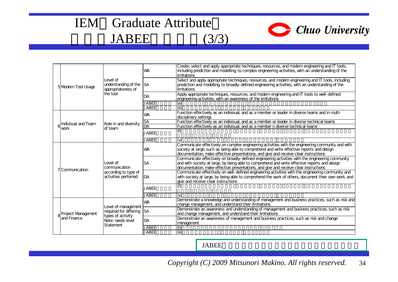#### IEM Graduate Attribute JABEE $(3/3)$



|  | Level of<br>5 Modern Tool Usage<br>the tool |                                                                                                      | WА              | Create, select and apply appropriate techniques, resources, and modern engineering and IT tools,<br>including prediction and modelling, to complex engineering activities, with an understanding of the<br>limitations                                                                    |
|--|---------------------------------------------|------------------------------------------------------------------------------------------------------|-----------------|-------------------------------------------------------------------------------------------------------------------------------------------------------------------------------------------------------------------------------------------------------------------------------------------|
|  |                                             | understanding of the<br>appropriateness of                                                           | <b>ISA</b>      | Select and apply appropriate techniques, resources, and modern engineering and IT tools, including<br>prediction and modelling to broadly-defined engineering activities, with an understanding of the<br>limitations                                                                     |
|  |                                             |                                                                                                      | DA              | Apply appropriate techniques, resources, and modern engineering and IT tools to well-defined<br>engineering activities, with an awareness of the limitations                                                                                                                              |
|  |                                             |                                                                                                      | <b>JABEE</b>    | (e)                                                                                                                                                                                                                                                                                       |
|  |                                             |                                                                                                      | <b>JABEE</b>    | (iii)                                                                                                                                                                                                                                                                                     |
|  |                                             |                                                                                                      | <b>NA</b>       | Function effectively as an indivisual, and as a member or leader in diverse teams and in multi-<br>disciplinary settings                                                                                                                                                                  |
|  | <b>Indivisual and Team</b>                  | Role in and diversity                                                                                | <b>SA</b>       | Function effectively as an indivisual, and as a member or leader in diverse technical teams                                                                                                                                                                                               |
|  | work                                        | of team                                                                                              | $\overline{DA}$ | Function effectively as an indivisual, and as a member n diverse technical teams                                                                                                                                                                                                          |
|  |                                             |                                                                                                      | <b>JABEE</b>    | (f)                                                                                                                                                                                                                                                                                       |
|  |                                             |                                                                                                      | <b>JABEE</b>    | (v)                                                                                                                                                                                                                                                                                       |
|  |                                             |                                                                                                      | WA              | Communicate effectively on complex engineering activities with the engineering community and with<br>society at large, such as being able to comprehend and write effective reports and design<br>documentation, make effective presentations, and give and receive clear instructions    |
|  | 7 Communication                             | Level of<br>communication                                                                            | <b>SA</b>       | Communicate effectively on broadly-defined engineering activities with the engineering community<br>and with society at large, by being able to comprehend and write effective reports and design<br>documentation, make effective presentations, and give and receive clear instructions |
|  |                                             | according to type of<br>activities perforred                                                         | DA              | Communicate effectively on well-defined engineering activities with the engineering community and<br>with society at large, by being able to comprehend the work of others, document their own work, and<br>laive and receive clear instructions                                          |
|  |                                             |                                                                                                      | <b>JABEE</b>    | (f)                                                                                                                                                                                                                                                                                       |
|  |                                             |                                                                                                      | <b>JABEE</b>    | $\omega$                                                                                                                                                                                                                                                                                  |
|  |                                             |                                                                                                      | <b>AV</b>       | Demonstrate a knowledge and understanding of management and business practices, such as risk and<br>change management, and understand their liminations                                                                                                                                   |
|  | Project Management                          | Level of management<br>required for differing<br>types of activity<br>Note: needs level<br>Statement | <b>SA</b>       | Demonstrate an awareness and understanding of management and business practices, such as risk<br>and change management, and understand their liminations                                                                                                                                  |
|  | and Finance                                 |                                                                                                      | DA              | Demonstrate an avareness of management and business practices, such as risk and change<br>management                                                                                                                                                                                      |
|  |                                             |                                                                                                      | <b>JABEE</b>    | (h)                                                                                                                                                                                                                                                                                       |
|  |                                             |                                                                                                      | <b>JABEE</b>    | (iii)                                                                                                                                                                                                                                                                                     |

#### JABEE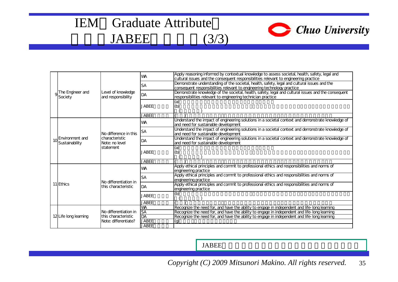#### IEM Graduate Attribute JABEE $(3/3)$



|  |                               |                                                                      | <b>WA</b>    | Apply reasoning informed by contextual knowledge to assess societal, health, safety, legal and      |
|--|-------------------------------|----------------------------------------------------------------------|--------------|-----------------------------------------------------------------------------------------------------|
|  |                               |                                                                      |              | cultural issues and the consequent responsibilities relevant to engineering practice                |
|  |                               |                                                                      | SA           | Demonstrate understanding of the societal, health, safety, legal and cultural issues and the        |
|  |                               |                                                                      |              | consequent responsibilities relevant to engineering technology practice                             |
|  | dThe Engineer and             | Level of knowledge                                                   | DA           | Demonstrate knowledge of the societal, health, safety, legal and cultural issues and the consequent |
|  | Society                       | and responsibility                                                   |              | responsibilities relevant to engineering technician practice                                        |
|  |                               |                                                                      |              | (a)                                                                                                 |
|  |                               |                                                                      | <b>JABEE</b> | (b)                                                                                                 |
|  |                               |                                                                      |              |                                                                                                     |
|  |                               |                                                                      | <b>JABEE</b> |                                                                                                     |
|  |                               |                                                                      | <b>NA</b>    | Understand the impact of engineering solutions in a societal context and demonstrate knowledge of   |
|  |                               |                                                                      |              | and need for sustainable development                                                                |
|  |                               |                                                                      | SA           | Understand the impact of engineering solutions in a societal context and demonstrate knowledge of   |
|  |                               | No difference in this                                                |              | and need for sustainable development                                                                |
|  | 10 <sup>Environment</sup> and | <b>characteristic</b><br>Note: no level<br>statement                 | DA           | Understand the impact of engineering solutions in a societal context and demonstrate knowledge of   |
|  | Sustainability                |                                                                      |              | and need for sustainable development                                                                |
|  |                               |                                                                      |              | (a)                                                                                                 |
|  |                               |                                                                      | <b>JABEE</b> | (b)                                                                                                 |
|  |                               |                                                                      |              |                                                                                                     |
|  |                               |                                                                      | <b>JABEE</b> |                                                                                                     |
|  |                               |                                                                      | <b>WA</b>    | Apply ethical principles and commit to professional ethics and responsibilities and norms of        |
|  |                               |                                                                      |              | engineering practice                                                                                |
|  |                               |                                                                      | SA           | Apply ethical principles and commit to professional ethics and responsibilities and norms of        |
|  | 11 Ethics                     | No differentiation in                                                |              | engineering practice                                                                                |
|  |                               | this characteristic                                                  | DA           | Apply ethical principles and commit to professional ethics and responsibilities and norms of        |
|  |                               |                                                                      |              | engineering practice<br>(b)                                                                         |
|  |                               |                                                                      | <b>JABEE</b> |                                                                                                     |
|  |                               |                                                                      | <b>JABEE</b> |                                                                                                     |
|  |                               |                                                                      | <b>WA</b>    | Recognize the need for, and have the ability to engage in independent and life-long learning        |
|  |                               | No differentiation in<br>this characteristic<br>Note: differentiate? | <b>SA</b>    | Recognize the need for, and have the ability to engage in independent and life-long learning        |
|  | 12 Life long learning         |                                                                      | DA           | Recognize the need for, and have the ability to engage in independent and life-long learning        |
|  |                               |                                                                      | <b>JABEE</b> | (a)                                                                                                 |
|  |                               |                                                                      | <b>JABEE</b> |                                                                                                     |
|  |                               |                                                                      |              |                                                                                                     |

#### JABEE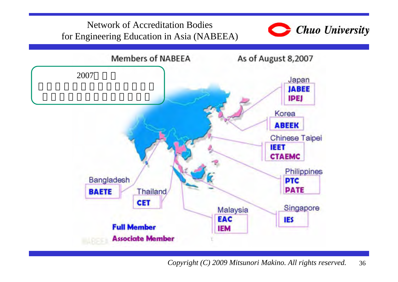#### Network of Accreditation Bodies for Engineering Education in Asia (NABEEA)





*Copyright (C) 2009 Mitsunori Makino. All rights reserved.*

36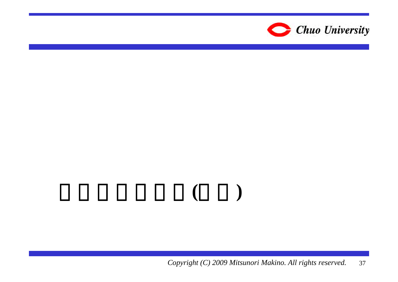

# **(**私見 **)**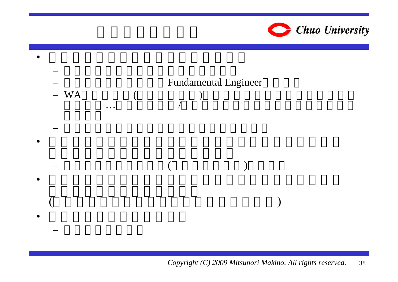

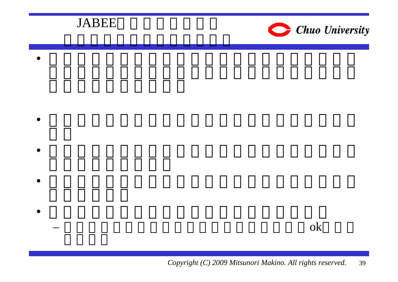

•

•

•

•

•



 $-\frac{1}{2}$ ok

*Copyright (C) 2009 Mitsunori Makino. All rights reserved.*

39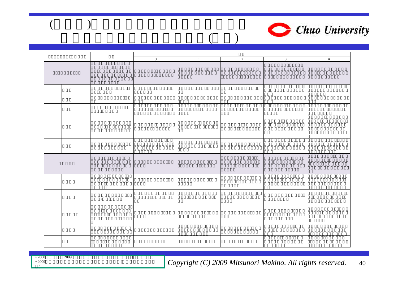

|  |  |           | $\overline{\circ}$ | $\overline{1}$ | $\overline{2}$ | $\overline{3}$ | $\overline{4}$ |  |  |
|--|--|-----------|--------------------|----------------|----------------|----------------|----------------|--|--|
|  |  |           |                    |                |                |                |                |  |  |
|  |  |           |                    |                |                |                |                |  |  |
|  |  |           |                    |                |                |                |                |  |  |
|  |  |           |                    |                |                |                |                |  |  |
|  |  |           |                    |                |                |                |                |  |  |
|  |  |           |                    |                |                |                |                |  |  |
|  |  |           |                    |                |                |                |                |  |  |
|  |  |           |                    |                |                |                |                |  |  |
|  |  | $(\quad)$ |                    |                |                |                |                |  |  |
|  |  |           |                    |                |                |                |                |  |  |
|  |  |           |                    |                |                |                |                |  |  |
|  |  |           |                    |                |                |                |                |  |  |

(

)

• 20088 a 2009 a 2009 a 2009 a 2009 a 2009 a 2009 a 2009 a 2009 a 2009 a 2009 a 2009 a 2009 a 2009 a 2009 a 2009 a 2 • 2009

)

(

)

 $9 \hspace{2.5cm} ($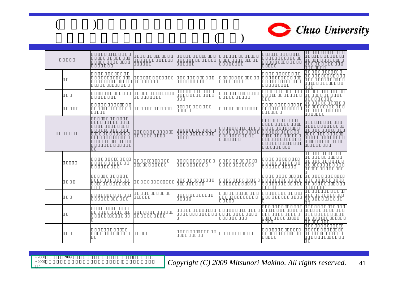

(

)

• 20088 a 2009 a 2009 a 2009 a 2009 a 2009 a 2009 a 2009 a 2009 a 2009 a 2009 a 2009 a 2009 a 2009 a 2009 a 2009 a 2 • 2009 $9 \hspace{2.5cm} ($ )

(

)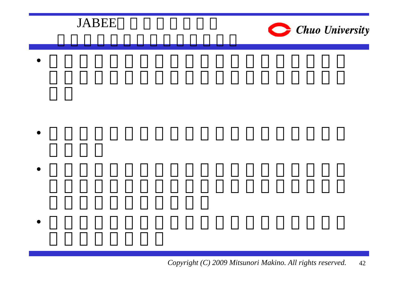

•

•

•

•

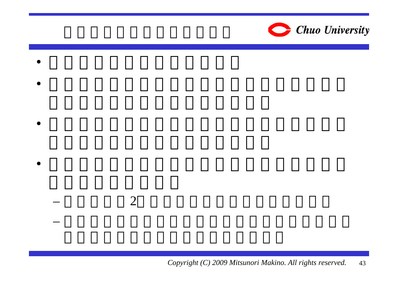